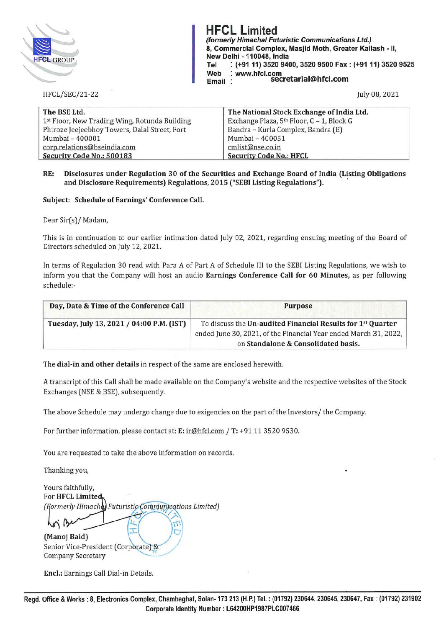

**HFCL Limited (formerly Himachal Futuristic Communications Ltd.) 8, Commercial Complex, Masjid Moth, Greater Kailash - 11, New Delhi - 110048, India Tel : (+91 11) 3520 9400, 3520 9500 Fax: (+91 11) 3520 9525 Web : www.hfcl.com** . **Email · secretarial@hfcl.com** 

HFCL/SEC/21-22

July 08, 2021

| The BSE Ltd.                                  | The National Stock Exchange of India Ltd. |  |
|-----------------------------------------------|-------------------------------------------|--|
| 1st Floor, New Trading Wing, Rotunda Building | Exchange Plaza, 5th Floor, C - 1, Block G |  |
| Phiroze Jeejeebhoy Towers, Dalal Street, Fort | Bandra - Kurla Complex, Bandra (E)        |  |
| Mumbai - 400001                               | Mumbai - 400051                           |  |
| corp.relations@bseindia.com                   | cmlist@nse.co.in                          |  |
| Security Code No.: 500183                     | <b>Security Code No.: HFCL</b>            |  |

## **RE: Disclosures under Regulation 30 of the Securities and Exchange Board of India (Listing Obligations and Disclosure Requirements) Regulations, 2015 ("SEBI Listing Regulations").** '

## **Subject: Schedule of Earnings' Conference Call.**

Dear Sir(s)/ Madam,

This is in continuation to our earlier intimation dated July 02, 2021, regarding ensuing meeting of the Board of Directors scheduled on July 12, 2021.

In terms of Regulation 30 read with Para A of Part A of Schedule III to the SEBI Listing Regulations, we wish to inform you that the Company will host an audio **Earnings Conference Call for 60 Minutes,** as per following schedule:-

| Day, Date & Time of the Conference Call   | <b>Purpose</b>                                                                                                                                                                     |
|-------------------------------------------|------------------------------------------------------------------------------------------------------------------------------------------------------------------------------------|
| Tuesday, July 13, 2021 / 04:00 P.M. (IST) | To discuss the Un-audited Financial Results for 1 <sup>st</sup> Quarter<br>ended June 30, 2021, of the Financial Year ended March 31, 2022,<br>on Standalone & Consolidated basis. |

The **dial-in and other details** in respect of the same are enclosed herewith.

A transcript of this Call shall be made available on the Company's website and the respective websites of the Stock Exchanges (NSE & BSE), subsequently.

The above Schedule may undergo change due to exigencies on the part of the Investors/ the Company.

For further information, please contact at: **E:** ir@hfcl.com / **T:** +9111 3520 9530.

You are requested to take the above information on records.

Thanking you,

Yours faithfully, For HFCL Limited (Formerly Himache) Futuristic Communications Limited)

> IJ T

(Manoj Baid) Senior Vice-President (Corporate) & **Company Secretary** 

**Encl.:** Earnings Call Dial-in Details.